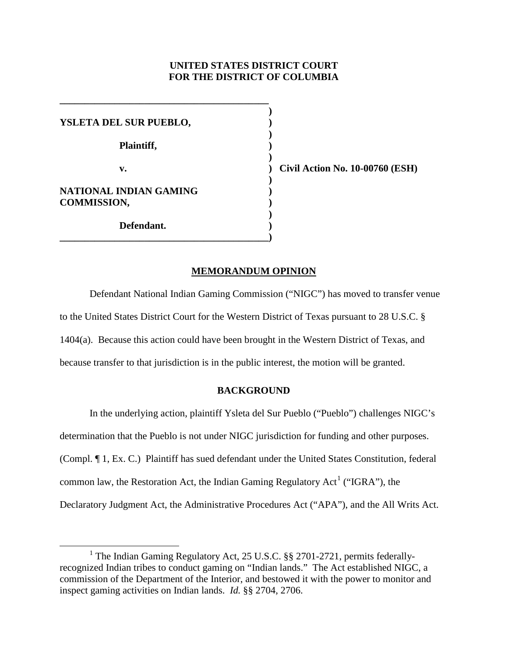# **UNITED STATES DISTRICT COURT FOR THE DISTRICT OF COLUMBIA**

**)**

**)**

**)**

**)** 

**)**

**YSLETA DEL SUR PUEBLO, ) Plaintiff, ) NATIONAL INDIAN GAMING ) COMMISSION, ) Defendant. )**

**\_\_\_\_\_\_\_\_\_\_\_\_\_\_\_\_\_\_\_\_\_\_\_\_\_\_\_\_\_\_\_\_\_\_\_\_\_\_\_\_\_\_)**

**\_\_\_\_\_\_\_\_\_\_\_\_\_\_\_\_\_\_\_\_\_\_\_\_\_\_\_\_\_\_\_\_\_\_\_\_\_\_\_\_\_\_**

**v. ) Civil Action No. 10-00760 (ESH)**

# **MEMORANDUM OPINION**

Defendant National Indian Gaming Commission ("NIGC") has moved to transfer venue to the United States District Court for the Western District of Texas pursuant to 28 U.S.C. § 1404(a). Because this action could have been brought in the Western District of Texas, and because transfer to that jurisdiction is in the public interest, the motion will be granted.

### **BACKGROUND**

In the underlying action, plaintiff Ysleta del Sur Pueblo ("Pueblo") challenges NIGC's determination that the Pueblo is not under NIGC jurisdiction for funding and other purposes. (Compl. ¶ 1, Ex. C.) Plaintiff has sued defendant under the United States Constitution, federal common law, the Restoration Act, the Indian Gaming Regulatory Act<sup>[1](#page-0-0)</sup> ("IGRA"), the Declaratory Judgment Act, the Administrative Procedures Act ("APA"), and the All Writs Act.

<span id="page-0-0"></span><sup>&</sup>lt;sup>1</sup> The Indian Gaming Regulatory Act, 25 U.S.C. §§ 2701-2721, permits federallyrecognized Indian tribes to conduct gaming on "Indian lands." The Act established NIGC, a commission of the Department of the Interior, and bestowed it with the power to monitor and inspect gaming activities on Indian lands. *Id.* §§ 2704, 2706.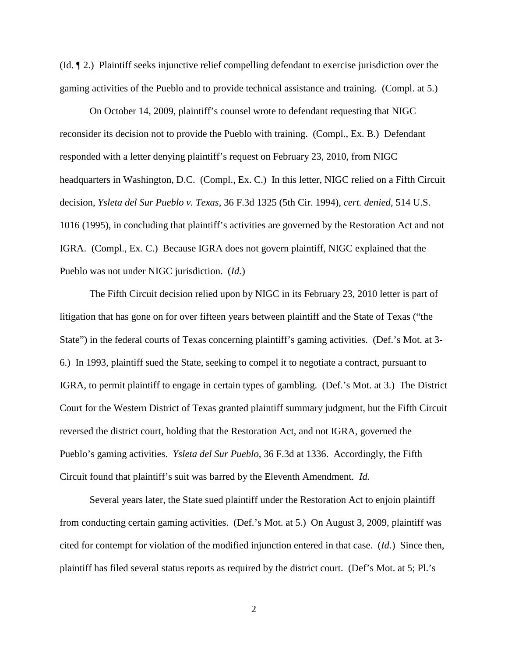(Id. ¶ 2.) Plaintiff seeks injunctive relief compelling defendant to exercise jurisdiction over the gaming activities of the Pueblo and to provide technical assistance and training. (Compl. at 5.)

On October 14, 2009, plaintiff's counsel wrote to defendant requesting that NIGC reconsider its decision not to provide the Pueblo with training. (Compl., Ex. B.) Defendant responded with a letter denying plaintiff's request on February 23, 2010, from NIGC headquarters in Washington, D.C. (Compl., Ex. C.) In this letter, NIGC relied on a Fifth Circuit decision, *Ysleta del Sur Pueblo v. Texas*, 36 F.3d 1325 (5th Cir. 1994), *cert. denied*, 514 U.S. 1016 (1995), in concluding that plaintiff's activities are governed by the Restoration Act and not IGRA. (Compl., Ex. C.) Because IGRA does not govern plaintiff, NIGC explained that the Pueblo was not under NIGC jurisdiction. (*Id.*)

The Fifth Circuit decision relied upon by NIGC in its February 23, 2010 letter is part of litigation that has gone on for over fifteen years between plaintiff and the State of Texas ("the State") in the federal courts of Texas concerning plaintiff's gaming activities. (Def.'s Mot. at 3- 6.) In 1993, plaintiff sued the State, seeking to compel it to negotiate a contract, pursuant to IGRA, to permit plaintiff to engage in certain types of gambling. (Def.'s Mot. at 3.) The District Court for the Western District of Texas granted plaintiff summary judgment, but the Fifth Circuit reversed the district court, holding that the Restoration Act, and not IGRA, governed the Pueblo's gaming activities. *Ysleta del Sur Pueblo*, 36 F.3d at 1336. Accordingly, the Fifth Circuit found that plaintiff's suit was barred by the Eleventh Amendment. *Id.*

Several years later, the State sued plaintiff under the Restoration Act to enjoin plaintiff from conducting certain gaming activities. (Def.'s Mot. at 5.) On August 3, 2009, plaintiff was cited for contempt for violation of the modified injunction entered in that case. (*Id.*) Since then, plaintiff has filed several status reports as required by the district court. (Def's Mot. at 5; Pl.'s

2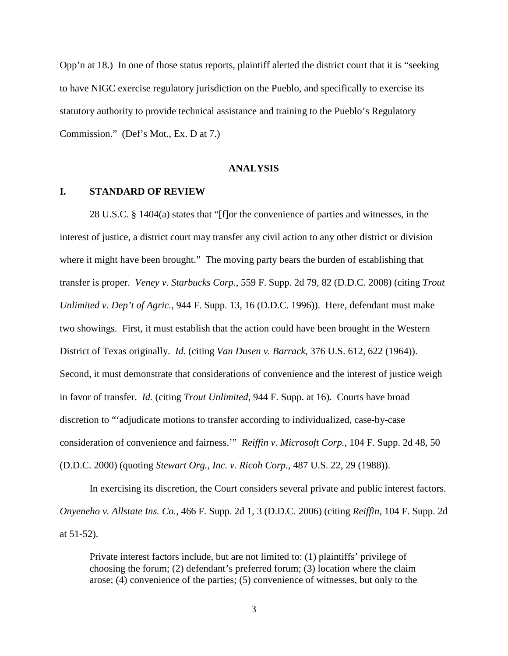Opp'n at 18.) In one of those status reports, plaintiff alerted the district court that it is "seeking to have NIGC exercise regulatory jurisdiction on the Pueblo, and specifically to exercise its statutory authority to provide technical assistance and training to the Pueblo's Regulatory Commission." (Def's Mot., Ex. D at 7.)

### **ANALYSIS**

# **I. STANDARD OF REVIEW**

28 U.S.C. § 1404(a) states that "[f]or the convenience of parties and witnesses, in the interest of justice, a district court may transfer any civil action to any other district or division where it might have been brought." The moving party bears the burden of establishing that transfer is proper. *Veney v. Starbucks Corp.*, 559 F. Supp. 2d 79, 82 (D.D.C. 2008) (citing *Trout Unlimited v. Dep't of Agric.*, 944 F. Supp. 13, 16 (D.D.C. 1996)). Here, defendant must make two showings. First, it must establish that the action could have been brought in the Western District of Texas originally. *Id.* (citing *Van Dusen v. Barrack*, 376 U.S. 612, 622 (1964)). Second, it must demonstrate that considerations of convenience and the interest of justice weigh in favor of transfer. *Id.* (citing *Trout Unlimited*, 944 F. Supp. at 16). Courts have broad discretion to "'adjudicate motions to transfer according to individualized, case-by-case consideration of convenience and fairness.'" *Reiffin v. Microsoft Corp.*, 104 F. Supp. 2d 48, 50 (D.D.C. 2000) (quoting *Stewart Org., Inc. v. Ricoh Corp.*, 487 U.S. 22, 29 (1988)).

In exercising its discretion, the Court considers several private and public interest factors. *Onyeneho v. Allstate Ins. Co.*, 466 F. Supp. 2d 1, 3 (D.D.C. 2006) (citing *Reiffin*, 104 F. Supp. 2d at 51-52).

Private interest factors include, but are not limited to: (1) plaintiffs' privilege of choosing the forum; (2) defendant's preferred forum; (3) location where the claim arose; (4) convenience of the parties; (5) convenience of witnesses, but only to the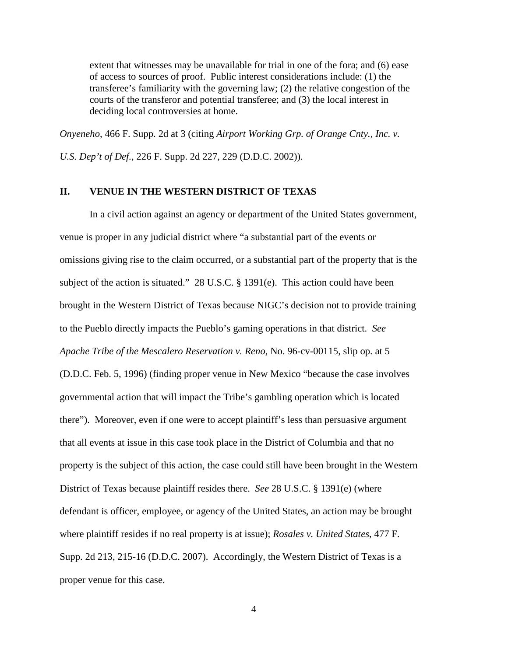extent that witnesses may be unavailable for trial in one of the fora; and (6) ease of access to sources of proof. Public interest considerations include: (1) the transferee's familiarity with the governing law; (2) the relative congestion of the courts of the transferor and potential transferee; and (3) the local interest in deciding local controversies at home.

*Onyeneho*, 466 F. Supp. 2d at 3 (citing *Airport Working Grp. of Orange Cnty., Inc. v. U.S. Dep't of Def.*, 226 F. Supp. 2d 227, 229 (D.D.C. 2002)).

# **II. VENUE IN THE WESTERN DISTRICT OF TEXAS**

In a civil action against an agency or department of the United States government, venue is proper in any judicial district where "a substantial part of the events or omissions giving rise to the claim occurred, or a substantial part of the property that is the subject of the action is situated." 28 U.S.C. § 1391(e). This action could have been brought in the Western District of Texas because NIGC's decision not to provide training to the Pueblo directly impacts the Pueblo's gaming operations in that district. *See Apache Tribe of the Mescalero Reservation v. Reno*, No. 96-cv-00115, slip op. at 5 (D.D.C. Feb. 5, 1996) (finding proper venue in New Mexico "because the case involves governmental action that will impact the Tribe's gambling operation which is located there"). Moreover, even if one were to accept plaintiff's less than persuasive argument that all events at issue in this case took place in the District of Columbia and that no property is the subject of this action, the case could still have been brought in the Western District of Texas because plaintiff resides there. *See* 28 U.S.C. § 1391(e) (where defendant is officer, employee, or agency of the United States, an action may be brought where plaintiff resides if no real property is at issue); *Rosales v. United States*, 477 F. Supp. 2d 213, 215-16 (D.D.C. 2007). Accordingly, the Western District of Texas is a proper venue for this case.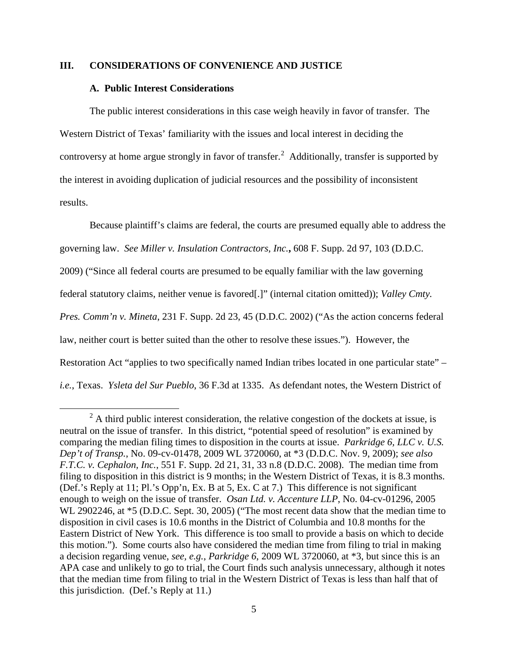# **III. CONSIDERATIONS OF CONVENIENCE AND JUSTICE**

### **A. Public Interest Considerations**

The public interest considerations in this case weigh heavily in favor of transfer. The Western District of Texas' familiarity with the issues and local interest in deciding the controversy at home argue strongly in favor of transfer.<sup>[2](#page-4-0)</sup> Additionally, transfer is supported by the interest in avoiding duplication of judicial resources and the possibility of inconsistent results.

Because plaintiff's claims are federal, the courts are presumed equally able to address the governing law. *See Miller v. Insulation Contractors, Inc.***,** 608 F. Supp. 2d 97, 103 (D.D.C. 2009) ("Since all federal courts are presumed to be equally familiar with the law governing federal statutory claims, neither venue is favored[.]" (internal citation omitted)); *Valley Cmty. Pres. Comm'n v. Mineta*, 231 F. Supp. 2d 23, 45 (D.D.C. 2002) ("As the action concerns federal law, neither court is better suited than the other to resolve these issues."). However, the Restoration Act "applies to two specifically named Indian tribes located in one particular state" – *i.e.*, Texas. *Ysleta del Sur Pueblo*, 36 F.3d at 1335. As defendant notes, the Western District of

<span id="page-4-0"></span> $^{2}$  A third public interest consideration, the relative congestion of the dockets at issue, is neutral on the issue of transfer. In this district, "potential speed of resolution" is examined by comparing the median filing times to disposition in the courts at issue. *Parkridge 6, LLC v. U.S. Dep't of Transp.*, No. 09-cv-01478, 2009 WL 3720060, at \*3 (D.D.C. Nov. 9, 2009); *see also F.T.C. v. [Cephalon, Inc.](http://web2.westlaw.com/find/default.wl?returnto=BusinessNameReturnTo&rs=WLW10.06&ifm=NotSet&fn=_top&sv=Split&findtype=l&lvbp=T&docname=CIK(0000873364)&db=BC-COMPANYSRBD&vr=2.0&rp=%2ffind%2fdefault.wl&mt=Westlaw)*, 551 F. Supp. 2d 21, 31, 33 n.8 (D.D.C. 2008). The median time from filing to disposition in this district is 9 months; in the Western District of Texas, it is 8.3 months. (Def.'s Reply at 11; Pl.'s Opp'n, Ex. B at 5, Ex. C at 7.) This difference is not significant enough to weigh on the issue of transfer. *Osan Ltd. v. Accenture LLP*, No. 04-cv-01296, 2005 WL 2902246, at  $*5$  (D.D.C. Sept. 30, 2005) ("The most recent data show that the median time to disposition in civil cases is 10.6 months in the District of Columbia and 10.8 months for the Eastern District of New York. This difference is too small to provide a basis on which to decide this motion."). Some courts also have considered the median time from filing to trial in making a decision regarding venue, *see, e.g.*, *Parkridge 6*, 2009 WL 3720060, at \*3, but since this is an APA case and unlikely to go to trial, the Court finds such analysis unnecessary, although it notes that the median time from filing to trial in the Western District of Texas is less than half that of this jurisdiction. (Def.'s Reply at 11.)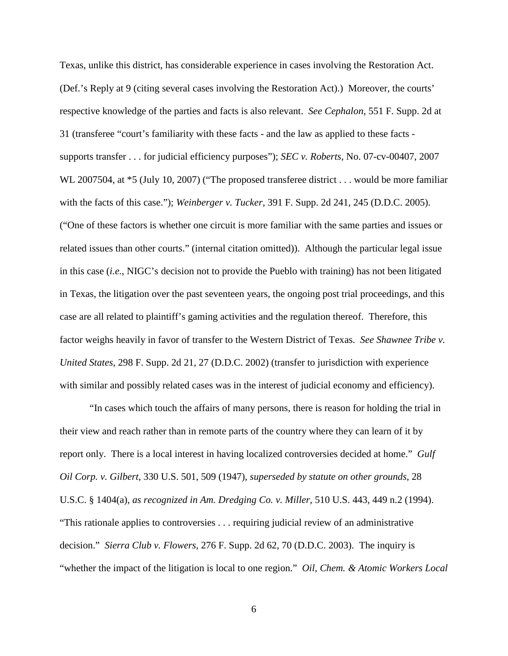Texas, unlike this district, has considerable experience in cases involving the Restoration Act. (Def.'s Reply at 9 (citing several cases involving the Restoration Act).) Moreover, the courts' respective knowledge of the parties and facts is also relevant. *See Cephalon*, 551 F. Supp. 2d at 31 (transferee "court's familiarity with these facts - and the law as applied to these facts supports transfer . . . for judicial efficiency purposes"); *SEC v. Roberts*, No. 07-cv-00407, 2007 WL 2007504, at  $*$ 5 (July 10, 2007) ("The proposed transferee district . . . would be more familiar with the facts of this case."); *Weinberger v. Tucker*, 391 F. Supp. 2d 241, 245 (D.D.C. 2005). ("One of these factors is whether one circuit is more familiar with the same parties and issues or related issues than other courts." (internal citation omitted)). Although the particular legal issue in this case (*i.e.*, NIGC's decision not to provide the Pueblo with training) has not been litigated in Texas, the litigation over the past seventeen years, the ongoing post trial proceedings, and this case are all related to plaintiff's gaming activities and the regulation thereof. Therefore, this factor weighs heavily in favor of transfer to the Western District of Texas. *See Shawnee Tribe v. United States*, 298 F. Supp. 2d 21, 27 (D.D.C. 2002) (transfer to jurisdiction with experience with similar and possibly related cases was in the interest of judicial economy and efficiency).

"In cases which touch the affairs of many persons, there is reason for holding the trial in their view and reach rather than in remote parts of the country where they can learn of it by report only. There is a local interest in having localized controversies decided at home." *Gulf Oil Corp. v. Gilbert*, 330 U.S. 501, 509 (1947), *superseded by statute on other grounds*, 28 U.S.C. § 1404(a), *as recognized in Am. Dredging Co. v. Miller,* 510 U.S. 443, 449 n.2 (1994). "This rationale applies to controversies . . . requiring judicial review of an administrative decision." *Sierra Club v. Flowers*, 276 F. Supp. 2d 62, 70 (D.D.C. 2003).The inquiry is "whether the impact of the litigation is local to one region." *Oil, Chem. & Atomic Workers Local*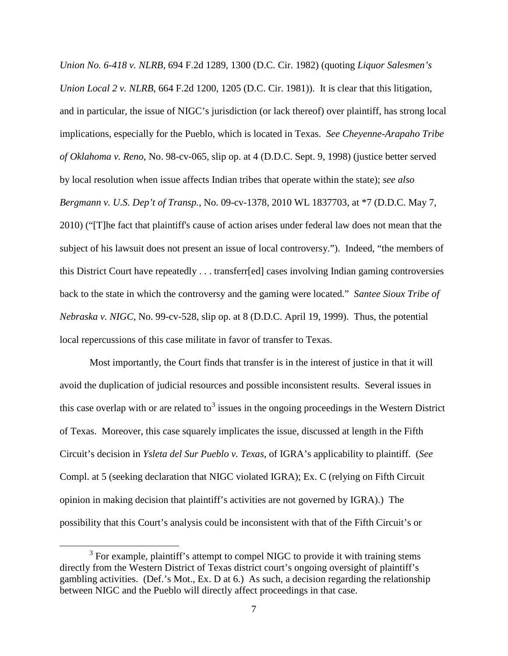*Union No. 6-418 v. NLRB*, 694 F.2d 1289, 1300 (D.C. Cir. 1982) (quoting *Liquor Salesmen's Union Local 2 v. NLRB*, 664 F.2d 1200, 1205 (D.C. Cir. 1981)). It is clear that this litigation, and in particular, the issue of NIGC's jurisdiction (or lack thereof) over plaintiff, has strong local implications, especially for the Pueblo, which is located in Texas. *See Cheyenne-Arapaho Tribe of Oklahoma v. Reno*, No. 98-cv-065, slip op. at 4 (D.D.C. Sept. 9, 1998) (justice better served by local resolution when issue affects Indian tribes that operate within the state); *see also Bergmann v. U.S. Dep't of Transp.*, No. 09-cv-1378, 2010 WL 1837703, at \*7 (D.D.C. May 7, 2010) ("[T]he fact that plaintiff's cause of action arises under federal law does not mean that the subject of his lawsuit does not present an issue of local controversy."). Indeed, "the members of this District Court have repeatedly . . . transferr[ed] cases involving Indian gaming controversies back to the state in which the controversy and the gaming were located." *Santee Sioux Tribe of Nebraska v. NIGC*, No. 99-cv-528, slip op. at 8 (D.D.C. April 19, 1999). Thus, the potential local repercussions of this case militate in favor of transfer to Texas.

Most importantly, the Court finds that transfer is in the interest of justice in that it will avoid the duplication of judicial resources and possible inconsistent results. Several issues in this case overlap with or are related to<sup>[3](#page-6-0)</sup> issues in the ongoing proceedings in the Western District of Texas. Moreover, this case squarely implicates the issue, discussed at length in the Fifth Circuit's decision in *Ysleta del Sur Pueblo v. Texas*, of IGRA's applicability to plaintiff. (*See*  Compl. at 5 (seeking declaration that NIGC violated IGRA); Ex. C (relying on Fifth Circuit opinion in making decision that plaintiff's activities are not governed by IGRA).) The possibility that this Court's analysis could be inconsistent with that of the Fifth Circuit's or

<span id="page-6-0"></span><sup>&</sup>lt;sup>3</sup> For example, plaintiff's attempt to compel NIGC to provide it with training stems directly from the Western District of Texas district court's ongoing oversight of plaintiff's gambling activities. (Def.'s Mot., Ex. D at 6.) As such, a decision regarding the relationship between NIGC and the Pueblo will directly affect proceedings in that case.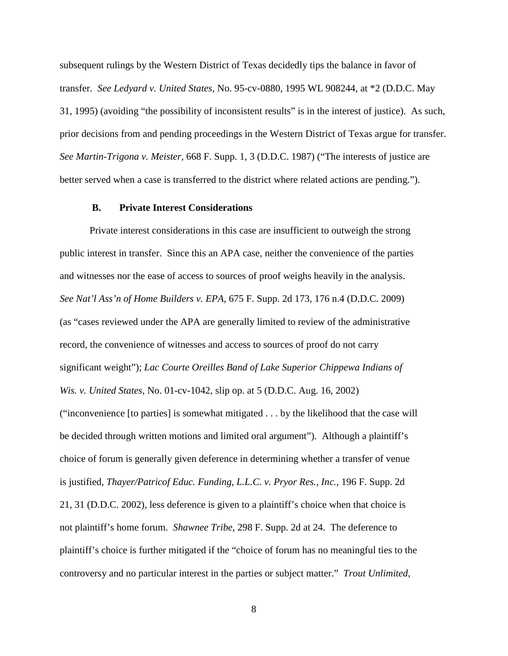subsequent rulings by the Western District of Texas decidedly tips the balance in favor of transfer. *See Ledyard v. United States*, No. 95-cv-0880, 1995 WL 908244, at \*2 (D.D.C. May 31, 1995) (avoiding "the possibility of inconsistent results" is in the interest of justice). As such, prior decisions from and pending proceedings in the Western District of Texas argue for transfer. *See Martin-Trigona v. Meister*, 668 F. Supp. 1, 3 (D.D.C. 1987) ("The interests of justice are better served when a case is transferred to the district where related actions are pending.").

#### **B. Private Interest Considerations**

Private interest considerations in this case are insufficient to outweigh the strong public interest in transfer. Since this an APA case, neither the convenience of the parties and witnesses nor the ease of access to sources of proof weighs heavily in the analysis. *See Nat'l Ass'n of Home Builders v. EPA*, 675 F. Supp. 2d 173, 176 n.4 (D.D.C. 2009) (as "cases reviewed under the APA are generally limited to review of the administrative record, the convenience of witnesses and access to sources of proof do not carry significant weight"); *Lac Courte Oreilles Band of Lake Superior Chippewa Indians of Wis. v. United States*, No. 01-cv-1042, slip op. at 5 (D.D.C. Aug. 16, 2002) ("inconvenience [to parties] is somewhat mitigated . . . by the likelihood that the case will be decided through written motions and limited oral argument"). Although a plaintiff's choice of forum is generally given deference in determining whether a transfer of venue is justified, *Thayer/Patricof Educ. Funding, L.L.C. v. Pryor Res., Inc.*, 196 F. Supp. 2d 21, 31 (D.D.C. 2002), less deference is given to a plaintiff's choice when that choice is not plaintiff's home forum. *Shawnee Tribe*, 298 F. Supp. 2d at 24. The deference to plaintiff's choice is further mitigated if the "choice of forum has no meaningful ties to the controversy and no particular interest in the parties or subject matter." *Trout Unlimited*,